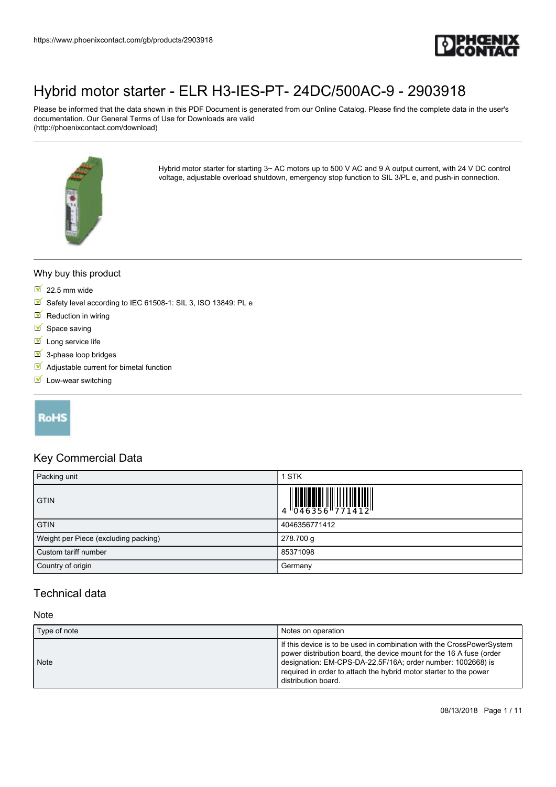

Please be informed that the data shown in this PDF Document is generated from our Online Catalog. Please find the complete data in the user's documentation. Our General Terms of Use for Downloads are valid (http://phoenixcontact.com/download)



Hybrid motor starter for starting 3~ AC motors up to 500 V AC and 9 A output current, with 24 V DC control voltage, adjustable overload shutdown, emergency stop function to SIL 3/PL e, and push-in connection.

#### Why buy this product

- $22.5$  mm wide
- Safety level according to IEC 61508-1: SIL 3, ISO 13849: PL e
- $\blacksquare$  Reduction in wiring
- $\blacksquare$  Space saving
- $\blacksquare$  Long service life
- $\overline{\mathsf{S}}$  3-phase loop bridges
- $\blacksquare$  Adjustable current for bimetal function
- $\blacksquare$  Low-wear switching

#### **RoHS**

#### Key Commercial Data

| Packing unit                         | <b>STK</b>                                                                |
|--------------------------------------|---------------------------------------------------------------------------|
| <b>GTIN</b>                          | $\begin{array}{c} 1 & 0 & 0 & 0 \\ 0 & 0 & 4 & 6 & 3 & 5 & 6 \end{array}$ |
| <b>GTIN</b>                          | 4046356771412                                                             |
| Weight per Piece (excluding packing) | 278.700 g                                                                 |
| Custom tariff number                 | 85371098                                                                  |
| Country of origin                    | Germany                                                                   |

#### Technical data

#### **Note**

| Type of note | Notes on operation                                                                                                                                                                                                                                                                                      |
|--------------|---------------------------------------------------------------------------------------------------------------------------------------------------------------------------------------------------------------------------------------------------------------------------------------------------------|
| Note         | If this device is to be used in combination with the CrossPowerSystem<br>power distribution board, the device mount for the 16 A fuse (order<br>designation: EM-CPS-DA-22,5F/16A; order number: 1002668) is<br>required in order to attach the hybrid motor starter to the power<br>distribution board. |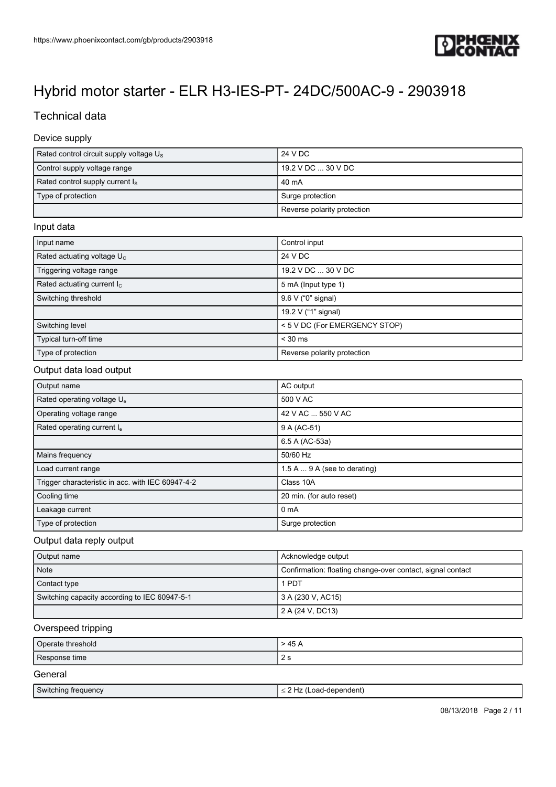

#### Technical data

#### Device supply

| Rated control circuit supply voltage U <sub>s</sub> | 24 V DC                     |
|-----------------------------------------------------|-----------------------------|
| Control supply voltage range                        | 19.2 V DC  30 V DC          |
| Rated control supply current $I_s$                  | 40 mA                       |
| Type of protection                                  | Surge protection            |
|                                                     | Reverse polarity protection |

#### Input data

| Input name                    | Control input                 |
|-------------------------------|-------------------------------|
| Rated actuating voltage $U_c$ | 24 V DC                       |
| Triggering voltage range      | 19.2 V DC  30 V DC            |
| Rated actuating current $I_c$ | 5 mA (Input type 1)           |
| Switching threshold           | 9.6 V ("0" signal)            |
|                               | 19.2 V ("1" signal)           |
| Switching level               | < 5 V DC (For EMERGENCY STOP) |
| Typical turn-off time         | $<$ 30 ms                     |
| Type of protection            | Reverse polarity protection   |

#### Output data load output

| Output name                                       | AC output                    |
|---------------------------------------------------|------------------------------|
| Rated operating voltage U <sub>e</sub>            | 500 V AC                     |
| Operating voltage range                           | 42 V AC  550 V AC            |
| Rated operating current I <sub>e</sub>            | 9 A (AC-51)                  |
|                                                   | 6.5 A (AC-53a)               |
| Mains frequency                                   | 50/60 Hz                     |
| Load current range                                | 1.5 A  9 A (see to derating) |
| Trigger characteristic in acc. with IEC 60947-4-2 | Class 10A                    |
| Cooling time                                      | 20 min. (for auto reset)     |
| Leakage current                                   | 0 <sub>m</sub> A             |
| Type of protection                                | Surge protection             |

#### Output data reply output

| Output name                                   | Acknowledge output                                         |
|-----------------------------------------------|------------------------------------------------------------|
| Note                                          | Confirmation: floating change-over contact, signal contact |
| Contact type                                  | PDT                                                        |
| Switching capacity according to IEC 60947-5-1 | 3 A (230 V, AC15)                                          |
|                                               | 2 A (24 V, DC13)                                           |

#### Overspeed tripping

| Operate threshold | >45A |
|-------------------|------|
| Response time     | 2 s  |
| General           |      |

| Switching frequency<br>-dependent)<br>_oad-r<br>--<br>77 |
|----------------------------------------------------------|
|----------------------------------------------------------|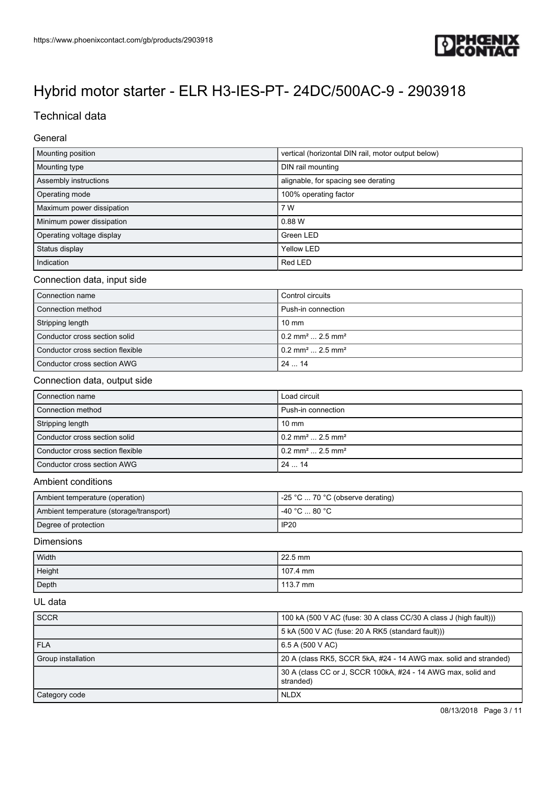

#### Technical data

#### General

| Mounting position         | vertical (horizontal DIN rail, motor output below) |
|---------------------------|----------------------------------------------------|
| Mounting type             | DIN rail mounting                                  |
| Assembly instructions     | alignable, for spacing see derating                |
| Operating mode            | 100% operating factor                              |
| Maximum power dissipation | 7 W                                                |
| Minimum power dissipation | 0.88W                                              |
| Operating voltage display | Green LED                                          |
| Status display            | <b>Yellow LED</b>                                  |
| Indication                | Red LED                                            |
|                           |                                                    |

#### Connection data, input side

| Connection name                  | Control circuits                           |
|----------------------------------|--------------------------------------------|
| Connection method                | Push-in connection                         |
| Stripping length                 | $10 \text{ mm}$                            |
| Conductor cross section solid    | $0.2$ mm <sup>2</sup> 2.5 mm <sup>2</sup>  |
| Conductor cross section flexible | $10.2$ mm <sup>2</sup> 2.5 mm <sup>2</sup> |
| Conductor cross section AWG      | 2414                                       |

#### Connection data, output side

| Connection name                  | Load circuit                               |
|----------------------------------|--------------------------------------------|
| Connection method                | Push-in connection                         |
| Stripping length                 | $10 \text{ mm}$                            |
| Conductor cross section solid    | $10.2$ mm <sup>2</sup> 2.5 mm <sup>2</sup> |
| Conductor cross section flexible | $0.2$ mm <sup>2</sup> 2.5 mm <sup>2</sup>  |
| Conductor cross section AWG      | 2414                                       |

#### Ambient conditions

| Ambient temperature (operation)         | $\vert$ -25 °C  70 °C (observe derating)        |
|-----------------------------------------|-------------------------------------------------|
| Ambient temperature (storage/transport) | $-40\degree$ C $\ldots$ 80 $^{\circ}$ C $^{-1}$ |
| Degree of protection                    | IP <sub>20</sub>                                |

#### Dimensions

| Width  | 22.5 mm            |
|--------|--------------------|
| Height | $107.4 \text{ mm}$ |
| Depth  | 113.7 mm           |

#### UL data

| <b>SCCR</b>        | 100 kA (500 V AC (fuse: 30 A class $CC/30$ A class J (high fault)))       |
|--------------------|---------------------------------------------------------------------------|
|                    | 5 kA (500 V AC (fuse: 20 A RK5 (standard fault)))                         |
| FLA                | 6.5 A (500 V AC)                                                          |
| Group installation | 20 A (class RK5, SCCR 5kA, #24 - 14 AWG max, solid and stranded)          |
|                    | 30 A (class CC or J, SCCR 100kA, #24 - 14 AWG max, solid and<br>stranded) |
| Category code      | I NLDX                                                                    |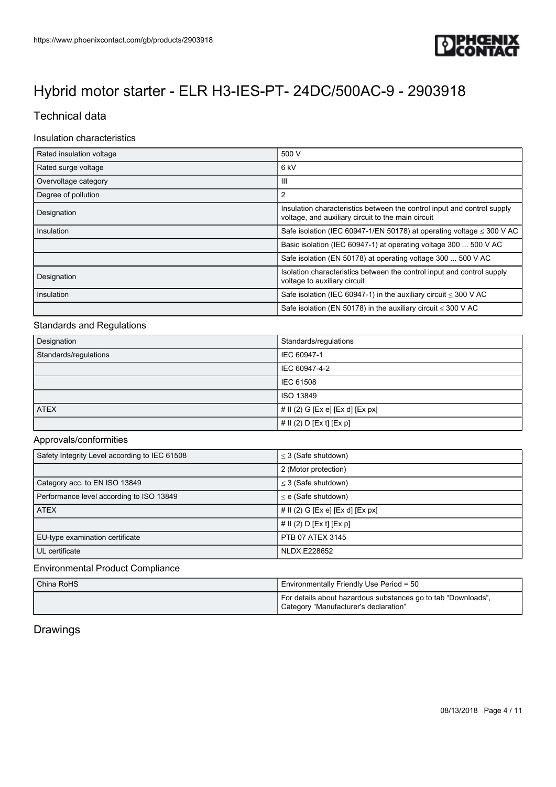

#### Technical data

#### Insulation characteristics

| Rated insulation voltage | 500 V                                                                                                                         |
|--------------------------|-------------------------------------------------------------------------------------------------------------------------------|
| Rated surge voltage      | 6 <sub>kV</sub>                                                                                                               |
| Overvoltage category     | Ш                                                                                                                             |
| Degree of pollution      | 2                                                                                                                             |
| Designation              | Insulation characteristics between the control input and control supply<br>voltage, and auxiliary circuit to the main circuit |
| Insulation               | Safe isolation (IEC 60947-1/EN 50178) at operating voltage $\leq$ 300 V AC                                                    |
|                          | Basic isolation (IEC 60947-1) at operating voltage 300  500 V AC                                                              |
|                          | Safe isolation (EN 50178) at operating voltage 300  500 V AC                                                                  |
| Designation              | Isolation characteristics between the control input and control supply<br>voltage to auxiliary circuit                        |
| Insulation               | Safe isolation (IEC 60947-1) in the auxiliary circuit $\leq$ 300 V AC                                                         |
|                          | Safe isolation (EN 50178) in the auxiliary circuit $\leq$ 300 V AC                                                            |

#### Standards and Regulations

| Designation           | Standards/regulations            |
|-----------------------|----------------------------------|
| Standards/regulations | IEC 60947-1                      |
|                       | IEC 60947-4-2                    |
|                       | IEC 61508                        |
|                       | ISO 13849                        |
| <b>ATEX</b>           | # II (2) G [Ex e] [Ex d] [Ex px] |
|                       | # II (2) D [Ex t] [Ex p]         |

#### Approvals/conformities

| Safety Integrity Level according to IEC 61508 | $\leq$ 3 (Safe shutdown)         |
|-----------------------------------------------|----------------------------------|
|                                               | 2 (Motor protection)             |
| Category acc. to EN ISO 13849                 | $\leq$ 3 (Safe shutdown)         |
| Performance level according to ISO 13849      | $\leq$ e (Safe shutdown)         |
| <b>ATEX</b>                                   | # II (2) G [Ex e] [Ex d] [Ex px] |
|                                               | # $  (2) D$ [Ex t] [Ex p]        |
| EU-type examination certificate               | PTB 07 ATEX 3145                 |
| UL certificate                                | <b>NLDX.E228652</b>              |

#### Environmental Product Compliance

| China RoHS | Environmentally Friendly Use Period = 50                                                               |
|------------|--------------------------------------------------------------------------------------------------------|
|            | For details about hazardous substances go to tab "Downloads",<br>Category "Manufacturer's declaration" |

#### Drawings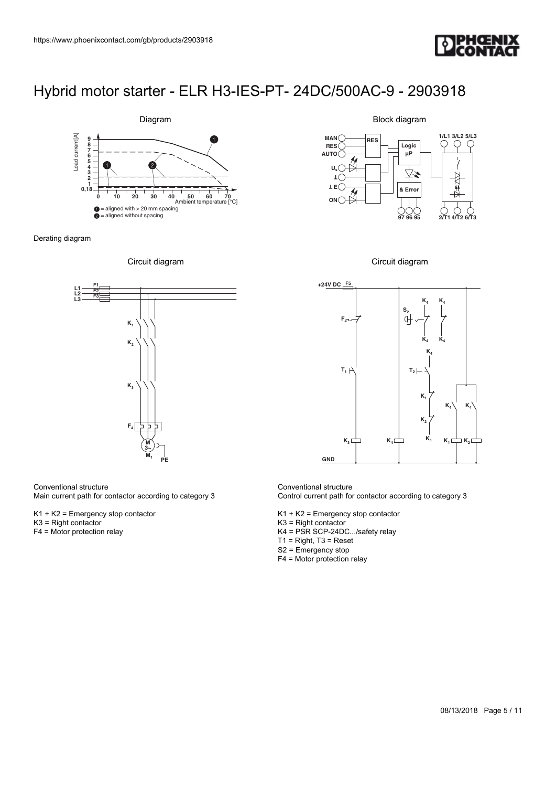



Derating diagram





#### Conventional structure

Main current path for contactor according to category 3

K1 + K2 = Emergency stop contactor

- K3 = Right contactor
- F4 = Motor protection relay

Block diagram







Conventional structure Control current path for contactor according to category 3

- K1 + K2 = Emergency stop contactor
- K3 = Right contactor
- K4 = PSR SCP-24DC.../safety relay
- T1 = Right, T3 = Reset
- S2 = Emergency stop
- F4 = Motor protection relay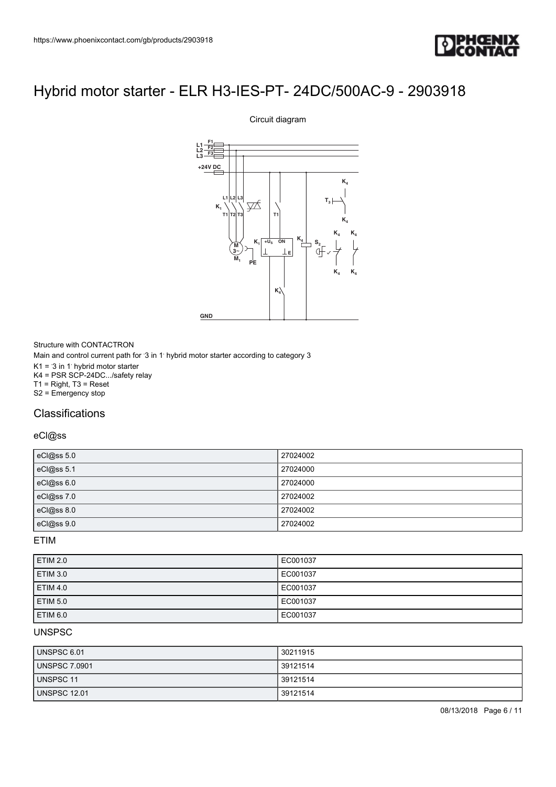

# **M 3**~  $+U_{\rm S}$ **E L1 L2 L3 +24V DC M K K4 K4 K4 K4 K4 T3 K4 K4 <sup>K</sup><sup>4</sup> <sup>S</sup><sup>2</sup> K PE L1 L2 F1 F2 F3** 3-IES-PT- 24DC/500AC-9 - 2903918<br>
Circuit diagram<br>
Circuit diagram<br>
Circuit diagram<br>
Circuit diagram<br>
Circuit diagram<br>
Circuit diagram<br>
Circuit diagram<br>
Exercise Lines<br>
Circuit diagram<br>
Exercise Lines<br>
Reference Lines<br>
Ref **T2 L3 T3 GND**

Circuit diagram

Structure with CONTACTRON Main and control current path for '3 in 1' hybrid motor starter according to category 3  $K1 = 3$  in 1 hybrid motor starter K4 = PSR SCP-24DC.../safety relay T1 = Right, T3 = Reset S2 = Emergency stop

#### **Classifications**

#### eCl@ss

| eCl@ss 5.0 | 27024002 |
|------------|----------|
| eCl@ss 5.1 | 27024000 |
| eCl@ss 6.0 | 27024000 |
| eCl@ss 7.0 | 27024002 |
| eCl@ss 8.0 | 27024002 |
| eCl@ss 9.0 | 27024002 |

ETIM

| <b>ETIM 2.0</b> | EC001037 |
|-----------------|----------|
| <b>ETIM 3.0</b> | EC001037 |
| <b>ETIM 4.0</b> | EC001037 |
| <b>ETIM 5.0</b> | EC001037 |
| ETIM 6.0        | EC001037 |

#### UNSPSC

| UNSPSC 6.01          | 30211915 |
|----------------------|----------|
| <b>UNSPSC 7.0901</b> | 39121514 |
| UNSPSC 11            | 39121514 |
| <b>UNSPSC 12.01</b>  | 39121514 |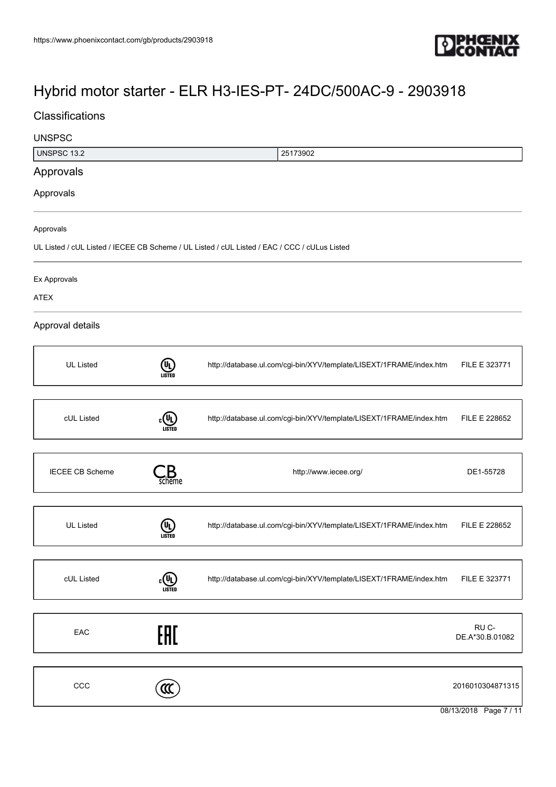

#### **Classifications**

# 08/13/2018 Page 7 / 11 UNSPSC UNSPSC 13.2 25173902 Approvals Approvals Approvals UL Listed / cUL Listed / IECEE CB Scheme / UL Listed / cUL Listed / EAC / CCC / cULus Listed Ex Approvals ATEX Approval details UL Listed **(UL)** <http://database.ul.com/cgi-bin/XYV/template/LISEXT/1FRAME/index.htm> FILE E 323771 cUL Listed  $c$ <sup>U</sup>L) <http://database.ul.com/cgi-bin/XYV/template/LISEXT/1FRAME/index.htm> FILE E 228652 IECEE CB Scheme  $\qquad \qquad \bullet$  Scheme  $\qquad \qquad$  Scheme  $\qquad \qquad$  DE1-55728 UL Listed **UL**<br>Listed Listed <http://database.ul.com/cgi-bin/XYV/template/LISEXT/1FRAME/index.htm> FILE E 228652 cUL Listed  $c$   $\overline{u}$   $\overline{u}$ <http://database.ul.com/cgi-bin/XYV/template/LISEXT/1FRAME/index.htm> FILE E 323771 EAC<sub>e</sub> RU C-DE.A\*30.B.01082  $\text{CC}$  2016010304871315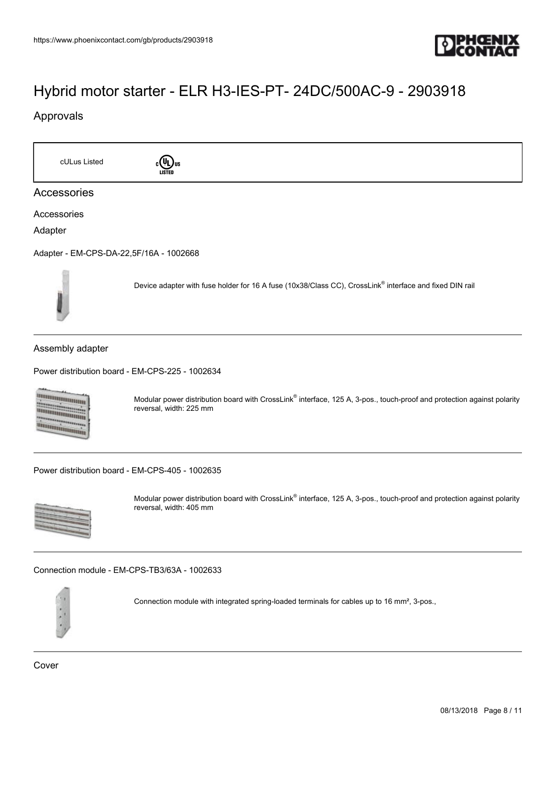

#### Approvals

cULus Listed cull us Accessories Accessories Adapter [Adapter - EM-CPS-DA-22,5F/16A - 1002668](https://www.phoenixcontact.com/gb/products/1002668) Device adapter with fuse holder for 16 A fuse (10x38/Class CC), CrossLink® interface and fixed DIN rail Assembly adapter [Power distribution board - EM-CPS-225 - 1002634](https://www.phoenixcontact.com/gb/products/1002634) **Diamontana** Modular power distribution board with CrossLink® interface, 125 A, 3-pos., touch-proof and protection against polarity annammanna reversal, width: 225 mm **TARTAIN DANA** [Power distribution board - EM-CPS-405 - 1002635](https://www.phoenixcontact.com/gb/products/1002635) Modular power distribution board with CrossLink® interface, 125 A, 3-pos., touch-proof and protection against polarity reversal, width: 405 mm [Connection module - EM-CPS-TB3/63A - 1002633](https://www.phoenixcontact.com/gb/products/1002633)



Connection module with integrated spring-loaded terminals for cables up to 16 mm², 3-pos.,

Cover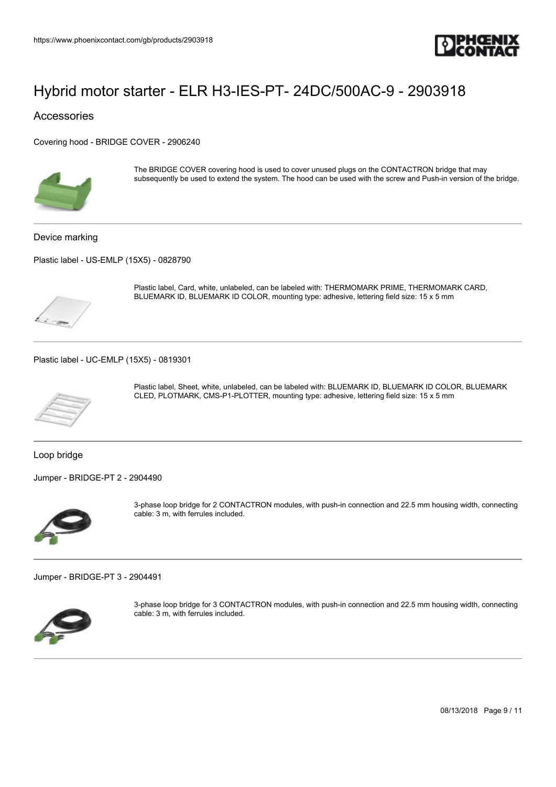

Accessories

[Covering hood - BRIDGE COVER - 2906240](https://www.phoenixcontact.com/gb/products/2906240)



The BRIDGE COVER covering hood is used to cover unused plugs on the CONTACTRON bridge that may subsequently be used to extend the system. The hood can be used with the screw and Push-in version of the bridge.

Device marking

[Plastic label - US-EMLP \(15X5\) - 0828790](https://www.phoenixcontact.com/gb/products/0828790)



Plastic label, Card, white, unlabeled, can be labeled with: THERMOMARK PRIME, THERMOMARK CARD, BLUEMARK ID, BLUEMARK ID COLOR, mounting type: adhesive, lettering field size: 15 x 5 mm

[Plastic label - UC-EMLP \(15X5\) - 0819301](https://www.phoenixcontact.com/gb/products/0819301)



Plastic label, Sheet, white, unlabeled, can be labeled with: BLUEMARK ID, BLUEMARK ID COLOR, BLUEMARK CLED, PLOTMARK, CMS-P1-PLOTTER, mounting type: adhesive, lettering field size: 15 x 5 mm

Loop bridge

[Jumper - BRIDGE-PT 2 - 2904490](https://www.phoenixcontact.com/gb/products/2904490)



3-phase loop bridge for 2 CONTACTRON modules, with push-in connection and 22.5 mm housing width, connecting cable: 3 m, with ferrules included.

[Jumper - BRIDGE-PT 3 - 2904491](https://www.phoenixcontact.com/gb/products/2904491)



3-phase loop bridge for 3 CONTACTRON modules, with push-in connection and 22.5 mm housing width, connecting cable: 3 m, with ferrules included.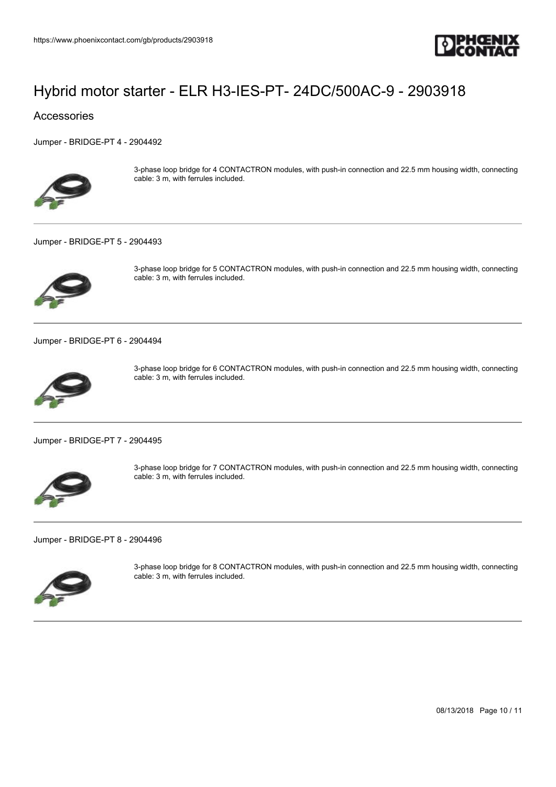

#### Accessories

[Jumper - BRIDGE-PT 4 - 2904492](https://www.phoenixcontact.com/gb/products/2904492)



3-phase loop bridge for 4 CONTACTRON modules, with push-in connection and 22.5 mm housing width, connecting cable: 3 m, with ferrules included.

#### [Jumper - BRIDGE-PT 5 - 2904493](https://www.phoenixcontact.com/gb/products/2904493)



3-phase loop bridge for 5 CONTACTRON modules, with push-in connection and 22.5 mm housing width, connecting cable: 3 m, with ferrules included.

[Jumper - BRIDGE-PT 6 - 2904494](https://www.phoenixcontact.com/gb/products/2904494)



3-phase loop bridge for 6 CONTACTRON modules, with push-in connection and 22.5 mm housing width, connecting cable: 3 m, with ferrules included.

[Jumper - BRIDGE-PT 7 - 2904495](https://www.phoenixcontact.com/gb/products/2904495)



3-phase loop bridge for 7 CONTACTRON modules, with push-in connection and 22.5 mm housing width, connecting cable: 3 m, with ferrules included.

[Jumper - BRIDGE-PT 8 - 2904496](https://www.phoenixcontact.com/gb/products/2904496)



3-phase loop bridge for 8 CONTACTRON modules, with push-in connection and 22.5 mm housing width, connecting cable: 3 m, with ferrules included.